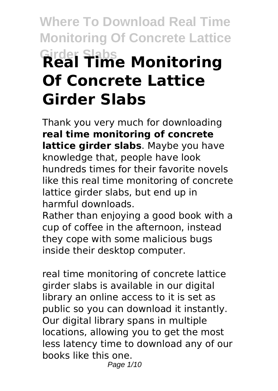# **Where To Download Real Time Monitoring Of Concrete Lattice Girder Slabs Real Time Monitoring Of Concrete Lattice Girder Slabs**

Thank you very much for downloading **real time monitoring of concrete lattice girder slabs**. Maybe you have knowledge that, people have look hundreds times for their favorite novels like this real time monitoring of concrete lattice girder slabs, but end up in harmful downloads.

Rather than enjoying a good book with a cup of coffee in the afternoon, instead they cope with some malicious bugs inside their desktop computer.

real time monitoring of concrete lattice girder slabs is available in our digital library an online access to it is set as public so you can download it instantly. Our digital library spans in multiple locations, allowing you to get the most less latency time to download any of our books like this one. Page 1/10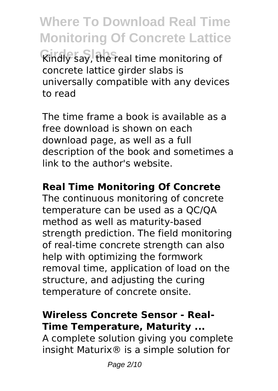**Where To Download Real Time Monitoring Of Concrete Lattice Girder Slabs** Kindly say, the real time monitoring of concrete lattice girder slabs is universally compatible with any devices to read

The time frame a book is available as a free download is shown on each download page, as well as a full description of the book and sometimes a link to the author's website.

#### **Real Time Monitoring Of Concrete**

The continuous monitoring of concrete temperature can be used as a QC/QA method as well as maturity-based strength prediction. The field monitoring of real-time concrete strength can also help with optimizing the formwork removal time, application of load on the structure, and adjusting the curing temperature of concrete onsite.

#### **Wireless Concrete Sensor - Real-Time Temperature, Maturity ...**

A complete solution giving you complete insight Maturix® is a simple solution for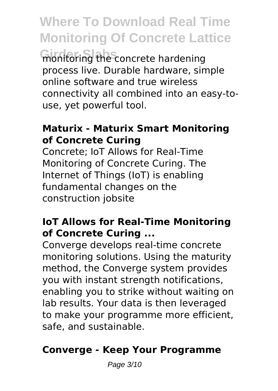**Where To Download Real Time Monitoring Of Concrete Lattice Girder Slabs** monitoring the concrete hardening process live. Durable hardware, simple online software and true wireless connectivity all combined into an easy-touse, yet powerful tool.

#### **Maturix - Maturix Smart Monitoring of Concrete Curing**

Concrete; IoT Allows for Real-Time Monitoring of Concrete Curing. The Internet of Things (IoT) is enabling fundamental changes on the construction jobsite

#### **IoT Allows for Real-Time Monitoring of Concrete Curing ...**

Converge develops real-time concrete monitoring solutions. Using the maturity method, the Converge system provides you with instant strength notifications, enabling you to strike without waiting on lab results. Your data is then leveraged to make your programme more efficient, safe, and sustainable.

#### **Converge - Keep Your Programme**

Page 3/10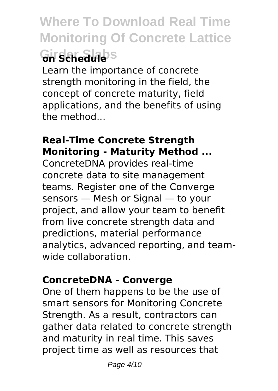## **Where To Download Real Time Monitoring Of Concrete Lattice Girder Slabs on Schedule**

Learn the importance of concrete strength monitoring in the field, the concept of concrete maturity, field applications, and the benefits of using the method...

#### **Real-Time Concrete Strength Monitoring - Maturity Method ...**

ConcreteDNA provides real-time concrete data to site management teams. Register one of the Converge sensors — Mesh or Signal — to your project, and allow your team to benefit from live concrete strength data and predictions, material performance analytics, advanced reporting, and teamwide collaboration.

#### **ConcreteDNA - Converge**

One of them happens to be the use of smart sensors for Monitoring Concrete Strength. As a result, contractors can gather data related to concrete strength and maturity in real time. This saves project time as well as resources that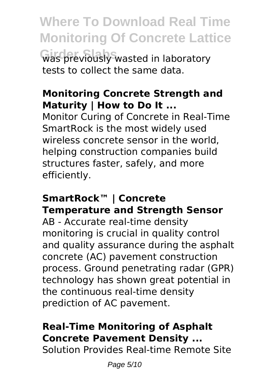**Where To Download Real Time Monitoring Of Concrete Lattice Girder Slabs** was previously wasted in laboratory tests to collect the same data.

#### **Monitoring Concrete Strength and Maturity | How to Do It ...**

Monitor Curing of Concrete in Real-Time SmartRock is the most widely used wireless concrete sensor in the world helping construction companies build structures faster, safely, and more efficiently.

#### **SmartRock™ | Concrete Temperature and Strength Sensor**

AB - Accurate real-time density monitoring is crucial in quality control and quality assurance during the asphalt concrete (AC) pavement construction process. Ground penetrating radar (GPR) technology has shown great potential in the continuous real-time density prediction of AC pavement.

#### **Real-Time Monitoring of Asphalt Concrete Pavement Density ...**

Solution Provides Real-time Remote Site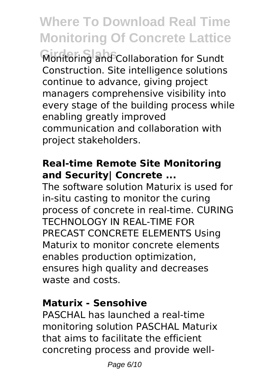## **Where To Download Real Time Monitoring Of Concrete Lattice**

**Girder Slabs** Monitoring and Collaboration for Sundt Construction. Site intelligence solutions continue to advance, giving project managers comprehensive visibility into every stage of the building process while enabling greatly improved communication and collaboration with project stakeholders.

#### **Real-time Remote Site Monitoring and Security| Concrete ...**

The software solution Maturix is used for in-situ casting to monitor the curing process of concrete in real-time. CURING TECHNOLOGY IN REAL-TIME FOR PRECAST CONCRETE ELEMENTS Using Maturix to monitor concrete elements enables production optimization, ensures high quality and decreases waste and costs.

#### **Maturix - Sensohive**

PASCHAL has launched a real-time monitoring solution PASCHAL Maturix that aims to facilitate the efficient concreting process and provide well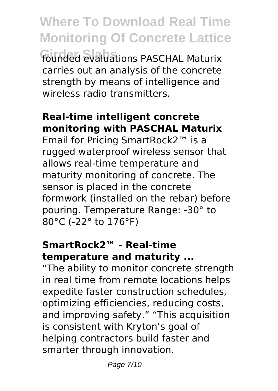**Where To Download Real Time Monitoring Of Concrete Lattice Girder Slabs** founded evaluations PASCHAL Maturix carries out an analysis of the concrete strength by means of intelligence and wireless radio transmitters.

#### **Real-time intelligent concrete monitoring with PASCHAL Maturix**

Email for Pricing SmartRock2™ is a rugged waterproof wireless sensor that allows real-time temperature and maturity monitoring of concrete. The sensor is placed in the concrete formwork (installed on the rebar) before pouring. Temperature Range: -30° to 80°C (-22° to 176°F)

#### **SmartRock2™ - Real-time temperature and maturity ...**

"The ability to monitor concrete strength in real time from remote locations helps expedite faster construction schedules, optimizing efficiencies, reducing costs, and improving safety." "This acquisition is consistent with Kryton's goal of helping contractors build faster and smarter through innovation.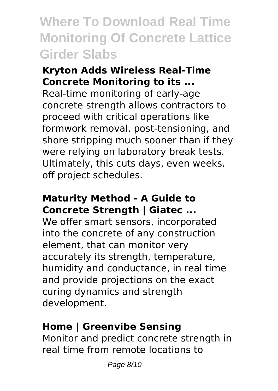### **Where To Download Real Time Monitoring Of Concrete Lattice Girder Slabs**

#### **Kryton Adds Wireless Real-Time Concrete Monitoring to its ...**

Real-time monitoring of early-age concrete strength allows contractors to proceed with critical operations like formwork removal, post-tensioning, and shore stripping much sooner than if they were relying on laboratory break tests. Ultimately, this cuts days, even weeks, off project schedules.

#### **Maturity Method - A Guide to Concrete Strength | Giatec ...**

We offer smart sensors, incorporated into the concrete of any construction element, that can monitor very accurately its strength, temperature, humidity and conductance, in real time and provide projections on the exact curing dynamics and strength development.

#### **Home | Greenvibe Sensing**

Monitor and predict concrete strength in real time from remote locations to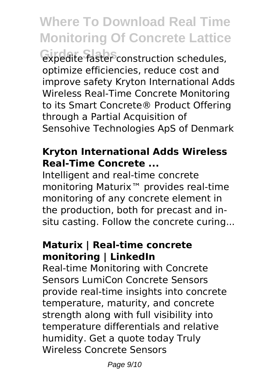## **Where To Download Real Time Monitoring Of Concrete Lattice**

**Girder Slabs** expedite faster construction schedules, optimize efficiencies, reduce cost and improve safety Kryton International Adds Wireless Real-Time Concrete Monitoring to its Smart Concrete® Product Offering through a Partial Acquisition of Sensohive Technologies ApS of Denmark

#### **Kryton International Adds Wireless Real-Time Concrete ...**

Intelligent and real-time concrete monitoring Maturix™ provides real-time monitoring of any concrete element in the production, both for precast and insitu casting. Follow the concrete curing...

#### **Maturix | Real-time concrete monitoring | LinkedIn**

Real-time Monitoring with Concrete Sensors LumiCon Concrete Sensors provide real-time insights into concrete temperature, maturity, and concrete strength along with full visibility into temperature differentials and relative humidity. Get a quote today Truly Wireless Concrete Sensors